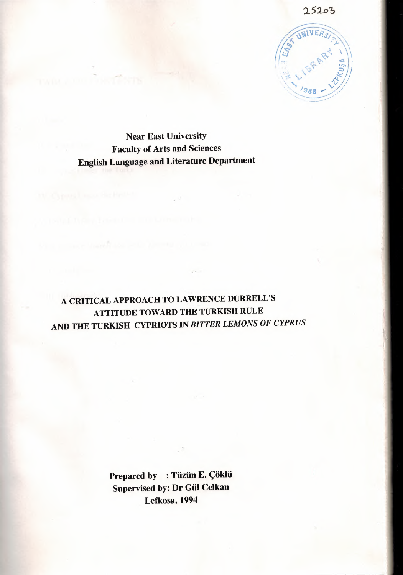

Near East University Faculty of Arts and Sciences English Language and Literature Department

## A CRITICAL APPROACH TO LAWRENCE DURRELL'S ATTITUDE TOWARD THE TURKISH RULE AND THE TURKISH CYPRIOTS IN *BITTER LEMONS OF CYPRUS*

 $\mathcal{C}^{(1)}$  is

Prepared by : Tüzün E. Çöklü Supervised by: Dr Gül Celkan Lefkosa, 1994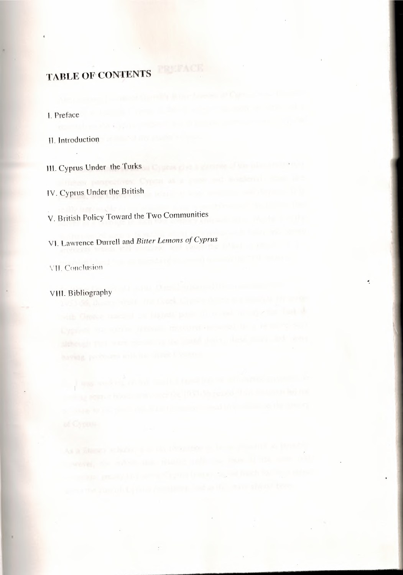# **TABLE OF CONTENTS**

#### l. Preface

11. Introduction

HL Cyprus Under the Turks

JV. Cyprus Under the British

V. British Policy Toward the Two Communities

VI. Lawrence Durrell and *Bitter Lemons of Cyprus* 

\' 11. Conclusion

VIII. Bibliography

•.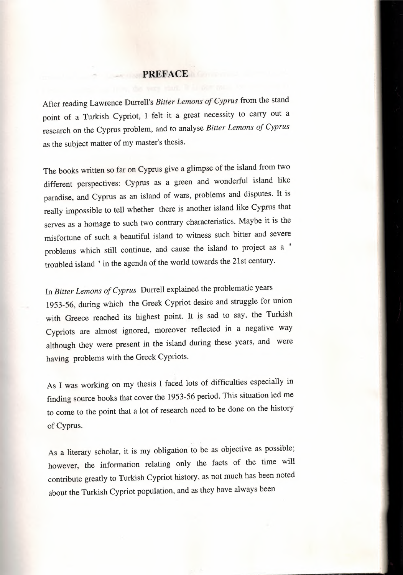#### **PREFACE**

After reading Lawrence Durrell's *Bitter Lemons of Cyprus* from the stand point of a Turkish Cypriot, I felt it a great necessity to carry out a research on the Cyprus problem, and to analyse *Bitter Lemons of Cyprus* as the subject matter of my master's thesis.

The books written so far on Cyprus give a glimpse of the island from two different perspectives: Cyprus as a green and wonderful island like paradise, and Cyprus as an island of wars, problems and disputes. It is really impossible to tell whether there is another island like Cyprus that serves as a homage to such two contrary characteristics. Maybe it is the misfortune of such a beautiful island to witness such bitter and severe problems which still continue, and cause the island to project as a troubled island " in the agenda of the world towards the 21st century.

In *Bitter Lemons of Cyprus* Durrell explained the problematic years 1953-56, during which the Greek Cypriot desire and struggle for union with Greece reached its highest point. It is sad to say, the Turkish Cypriots are almost ignored, moreover reflected in a negative way although they were present in the island during these years, and were having problems with the Greek Cypriots.

As I was working on my thesis I faced lots of difficulties especially in finding source books that cover the 1953-56 period. This situation led me to come to the point that a lot of research need to be done on the history of Cyprus.

As a literary scholar, it is my obligation to be as objective as possible; however, the information relating only the facts of the time will contribute greatly to Turkish Cypriot history, as not much has been noted about the Turkish Cypriot population, and as they have always been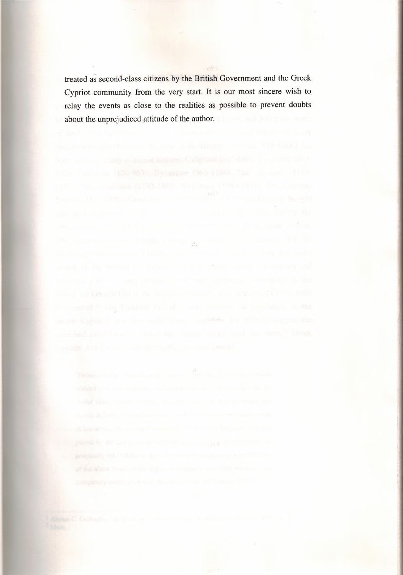treated as second-class citizens by the British Government and the Greek Cypriot community from the very start. It is our most sincere wish to relay the events as close to the realities as possible to prevent doubts about the unprejudiced attitude of the author.

 $\Lambda$ 

 $\mathbb{R}^{N}$  ).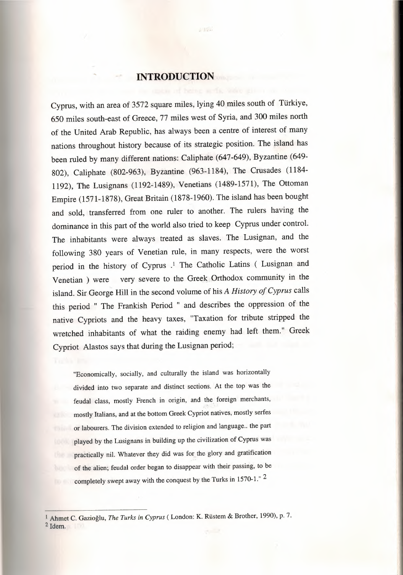#### **INTRODUCTION**

 $, 1, 2, ...$ 

Cyprus, with an area of 3572 square miles, lying 40 miles south of Türkiye, 650 miles south-east of Greece, 77 miles west of Syria, and 300 miles north of the United Arab Republic, has always been a centre of interest of many nations throughout history because of its strategic position. The island has been ruled by many different nations: Caliphate (647-649), Byzantine (649- 802), Caliphate (802-963), Byzantine (963-1184), The Crusades (1184- 1192), The Lusignans (1192-1489), Venetians (1489-1571), The Ottoman Empire (1571-1878), Great Britain (1878-1960). The island has been bought and sold, transferred from one ruler to another. The rulers having the dominance in this part of the world also tried to keep Cyprus under control. The inhabitants were always treated as slaves. The Lusignan, and the following 380 years of Venetian rule, in many respects, were the worst period in the history of Cyprus .<sup>1</sup> The Catholic Latins ( Lusignan and Venetian ) were very severe to the Greek Orthodox community in the island. Sir George Hill in the second volume of his *A History of Cyprus* calls this period " The Frankish Period " and describes the oppression of the native Cypriots and the heavy taxes, "Taxation for tribute stripped the wretched inhabitants of what the raiding enemy had left them." Greek Cypriot Alastos says that during the Lusignan period;

"Economically, socially, and culturally the island was horizontally divided into two separate and distinct sections. At the top was the feudal class, mostly French in origin, and the foreign merchants, mostly Italians, and at the bottom Greek Cypriot natives, mostly serfes or labourers. The division extended to religion and language.. the part played by the Lusignans in building up the civilization of Cyprus was practically nil. Whatever they did was for the glory and gratification of the alien; feudal order began to disappear with their passing, to be completely swept away with the conquest by the Turks in 1570-1." 2

<sup>1</sup> Ahmet C. Gazioğlu, *The Turks in Cyprus (* London: K. Rüstem & Brother, 1990), p. 7.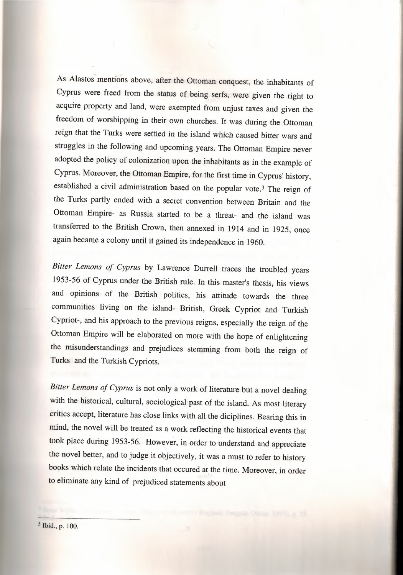As Alastos mentions above, after the Ottoman conquest, the inhabitants of Cyprus were freed from the status of being serfs, were given the right to acquire property and land, were exempted from unjust taxes and given the freedom of worshipping in their own churches. It was during the Ottoman reign that the Turks were settled in the island which caused bitter wars and struggles in the following and upcoming years. The Ottoman Empire never adopted the policy of colonization upon the inhabitants as in the example of Cyprus. Moreover, the Ottoman Empire, for the first time in Cyprus' history, established a civil administration based on the popular vote.<sup>3</sup> The reign of the Turks partly ended with a secret convention between Britain and the Ottoman Empire- as Russia started to be a threat- and the island was transferred to the British Crown, then annexed in 1914 and in 1925, once again became a colony until it gained its independence in 1960.

*Bitter Lemons of Cyprus* by Lawrence Durrell traces the troubled years 1953-56 of Cyprus under the British rule. In this master's thesis, his views and opinions of the British politics, his attitude towards the three communities living on the island- British, Greek Cypriot and Turkish Cypriot-, and his approach to the previous reigns, especially the reign of the Ottoman Empire will be elaborated on more with the hope of enlightening the misunderstandings and prejudices stemming from both the reign of Turks and the Turkish Cypriots.

*Bitter Lemons of Cyprus* is not only a work of literature but a novel dealing with the historical, cultural, sociological past of the island. As most literary critics accept, literature has close links with all the diciplines. Bearing this in mind, the novel will be treated as a work reflecting the historical events that took place during 1953-56. However, in order to understand and appreciate the novel better, and to judge it objectively, it was a must to refer to history books which relate the incidents that occured at the time. Moreover, in order to eliminate any kind of prejudiced statements about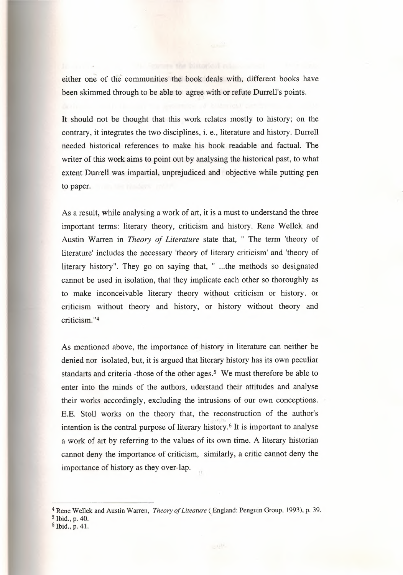either one of the communities the book deals with, different books have been skimmed through to be able to agree with or refute Durrell's points.

It should not be thought that this work relates mostly to history; on the contrary, it integrates the two disciplines, i. e., literature and history. Durrell needed historical references to make his book readable and factual. The writer of this work aims to point out by analysing the historical past, to what extent Durrell was impartial, unprejudiced and objective while putting pen to paper.

As a result, while analysing a work of art, it is a must to understand the three important terms: literary theory, criticism and history. Rene Wellek and Austin Warren in *Theory of Literature* state that, " The term 'theory of literature' includes the necessary 'theory of literary criticism' and 'theory of literary history". They go on saying that, " ...the methods so designated cannot be used in isolation, that they implicate each other so thoroughly as to make inconceivable literary theory without criticism or history, or criticism without theory and history, or history without theory and criticism. "4

As mentioned above, the importance of history in literature can neither be denied nor isolated, but, it is argued that literary history has its own peculiar standarts and criteria -those of the other ages.<sup>5</sup> We must therefore be able to enter into the minds of the authors, uderstand their attitudes and analyse their works accordingly, excluding the intrusions of our own conceptions. E.E. Stoll works on the theory that, the reconstruction of the author's  $, 1, 1, 1$ intention is the central purpose of literary history.<sup>6</sup> It is important to analyse a work of art by referring to the values of its own time. A literary historian cannot deny the importance of criticism, similarly, a critic cannot deny the importance of history as they over-lap.

<sup>4</sup> Rene Wellek and Austin Warren, *Theory ofLiteature (* England: Penguin Group, 1993), p. 39.

s Ibid., p. 40.

<sup>6</sup> Ibid., p. 41.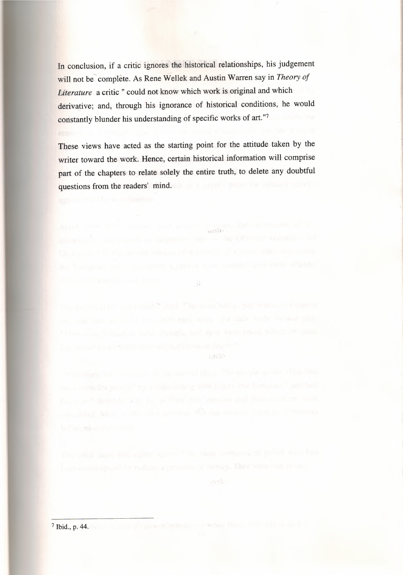In conclusion, if a critic ignores the historical relationships, his judgement will not be' complete. As Rene Wellek and Austin Warren say in *Theory of Literature* a critic " could not know which work is original and which derivative; and, through his ignorance of historical conditions, he would constantly blunder his understanding of specific works of art."7

These views have acted as the starting point for the attitude taken by the writer toward the work. Hence, certain historical information will comprise part of the chapters to relate solely the entire truth, to delete any doubtful questions from the readers' mind.

under.

 $\mathbb{E}_{\mathbb{R}}\mathbb{E}_{\mathbb{R}}^{d}$  (b)

 $\mathcal{G}$ 

varne.

<sup>7</sup> Ibid., p. 44.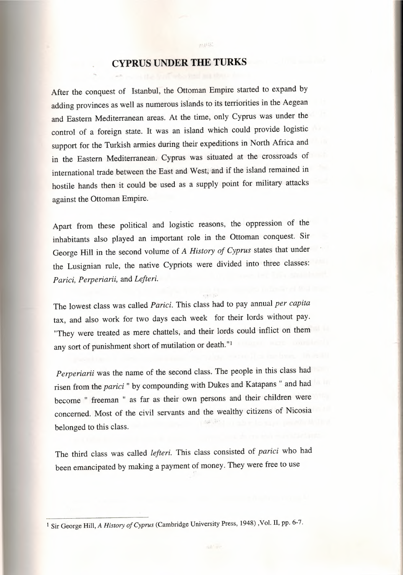### **CYPRUS UNDER THE TURKS**

 $31.111$ 

After the conquest of Istanbul, the Ottoman Empire started to expand by adding provinces as well as numerous islands to its terriorities in the Aegean and Eastern Mediterranean areas. At the time, only Cyprus was under the control of a foreign state. It was an island which could provide logistic support for the Turkish armies during their expeditions in North Africa and in the Eastern Mediterranean. Cyprus was situated at the crossroads of international trade between the East and West, and if the island remained in hostile hands then it could be used as a supply point for military attacks against the Ottoman Empire.

Apart from these political and logistic reasons, the oppression of the inhabitants also played an important role in the Ottoman conquest. Sir George Hill in the second volume of *A History of Cyprus* states that under the Lusignian rule, the native Cypriots were divided into three classes: *Parici, Perperiarii,* and *Lefteri.*

The lowest class was called *Parici.* This class had to pay annual *per capita* tax, and also work for two days each week for their lords without pay. "They were treated as mere chattels, and their lords could inflict on them any sort of punishment short of mutilation or death."<sup>ı</sup>

*Perperiarii* was the name of the second class. The people in this class had risen from the *parici "* by compounding with Dukes and Katapans " and had become " freeman " as far as their own persons and their children were concerned. Most of the civil servants and the wealthy citizens of Nicosia belonged to this class.

The third class was called *lefteri.* This class consisted of *parici* who had been emancipated by making a payment of money. They were free to use

ISir George Hill, *<sup>A</sup> History of Cyprus* (Cambridge University Press, 1948) ,Vol. II, pp. 6-7.

all for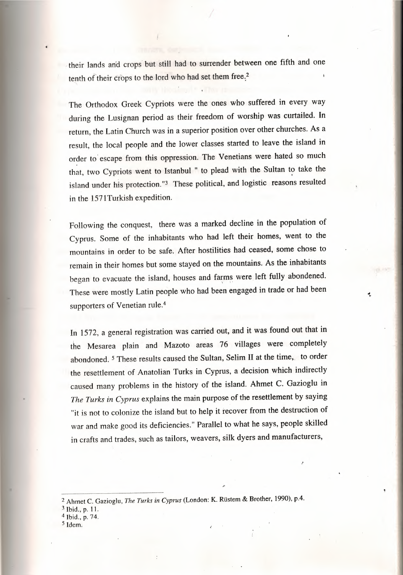. their lands arid crops but still had to surrender between one fifth and one tenth of their crops to the lord who had set them free.<sup>2</sup>

The Orthodox Greek Cypriots were the ones who suffered in every way during the Lusignan period as their freedom of worship was curtailed. In return, the Latin Church was in a superior position over other churches. As a result, the local people and the lower classes started to leave the island in order to escape from this oppression. The Venetians were hated so much that, two Cypriots went to Istanbul " to plead with the Sultan to take the island under his protection.''3 These political, and logistic reasons resulted in the 1571Turkish expedition.

Following the conquest, there was a marked decline in the population of Cyprus. Some of the inhabitants who had left their homes, went to the mountains in order to be safe. After hostilities had ceased, some chose to remain in their homes but some stayed on the mountains. As the inhabitants began to evacuate the island, houses and farms were left fully abondened These were mostly Latin people who had been engaged in trade or had been supporters of Venetian rule.<sup>4</sup>

.•.

In 1572, a general registration was carried out, and it was found out that in the Mesarea plain and Mazoto areas 76 villages were completely abandoned. <sup>5</sup> These results caused the Sultan, Selim II at the time; to order the resettlement of Anatolian Turks in Cyprus, a decision which indirectly caused many problems in the history of the island. Ahmet C. Gazioglu in *The Turks in Cyprus* explains the main purpose of the resettlement by saying "it is not to colonize the island but to help it recover from the destruction of war and make good its deficiencies." Parallel to what he says, people skilled in crafts and trades, such as tailors, weavers, silk dyers and manufacturers,

<sup>5</sup> Idem.

<sup>2</sup> Ahmet C. Gazioglu, *The Turks in Cyprus* (London: K. Rüstem & Brother, 1990), p.4.

 $3$  Ibid., p. 11.

<sup>4</sup> Ibid., p. 74.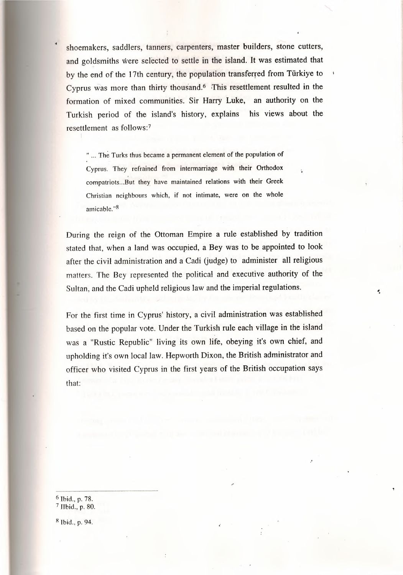shoemakers, saddlers, tanners, carpenters, master builders, stone cutters, and goldsmiths were selected to settle in the island. It was estimated that by the end of the 17th century, the population transferred from Türkiye to Cyprus was more than thirty thousand.<sup>6</sup> This resettlement resulted in the formation of mixed communities. Sir Harry Luke, an authority on the Turkish period of the island's history, explains his views about the resettlement as follows:<sup>7</sup>

" ... The Turks thus became a permanent element of the population of Cyprus. They refrained from intermarriage with their Orthodox compatriots ...But they have maintained relations with their Greek Christian neighbours which, if not intimate, were on the whole amicable. "8

During the reign of the Ottoman Empire a rule established by tradition stated that, when a land was occupied, a Bey was to be appointed to look after the civil administration and a Cadi (judge) to administer all religious matters. The Bey represented the political and executive authority of the Sultan, and the Cadi upheld religious law and the imperial regulations.

For the first time in Cyprus' history, a civil administration was established based on the popular vote. Under the Turkish rule each village in the island was a "Rustic Republic" living its own life, obeying it's own chief, and upholding it's own local law. Hepworth Dixon, the British administrator and officer who visited Cyprus in the first years of the British occupation says that:

6 Ibid., p. 78. <sup>7</sup> Jlbid., p. 80.

<sup>8</sup> Ibid., p. 94.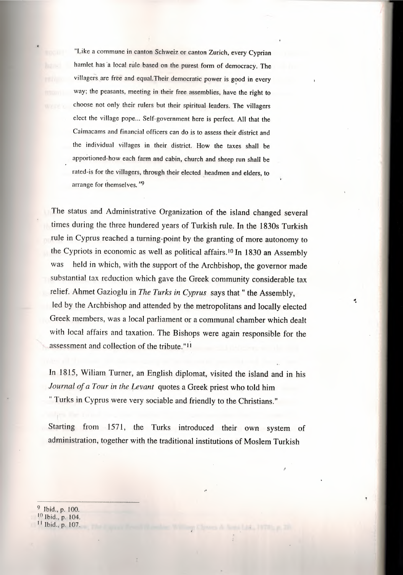"Like a commune in canton Schweiz or canton Zurich, every Cyprian hamlet has 'a local rule based on the purest form of democracy. The villagers are free and equal. Their democratic power is good in every way; the peasants, meeting in their free assemblies, have the right to choose not only their rulers but their spiritual leaders. The villagers elect the village pope... Self-government here is perfect. All that the Caimacams and financial officers can do is to assess their district and the individual villages in their district. How the taxes shall be apportioned-how each farm and cabin, church and sheep run shall be rated-is for the villagers, through their elected \_headmen and elders, to arrange for themselves. "9

The status and Administrative Organization of the island changed several times during the three hundered years of Turkish rule. In the 1830s Turkish rule in Cyprus reached a turning-point by the granting of more autonomy to the Cypriots in economic as well as political affairs.<sup>10</sup> In 1830 an Assembly was held in which, with the support of the Archbishop, the governor made substantial tax reduction which gave the Greek community considerable tax relief. Ahmet Gazioglu in *The Turks in Cyprus* says that " the Assembly, led by the Archbishop and attended by the metropolitans and locally elected Greek members, was a local parliament or a communal chamber which dealt with local affairs and taxation. The Bishops were again responsible for the assessment and collection of the tribute."<sup>11</sup>

In 1815, Wiliam Turner, an English diplomat, visited the island and in his *Journal of a Tour in the Levant* quotes a Greek priest who told him " Turks in Cyprus were very sociable and friendly to the Christians."

Starting from 1571, the Turks introduced their own system of administration, together with the traditional institutions of Moslem Turkish

9 Ibid., p. 100.

ıo Ibid., p. 104.

<sup>11</sup> Ibid., p. 107.

÷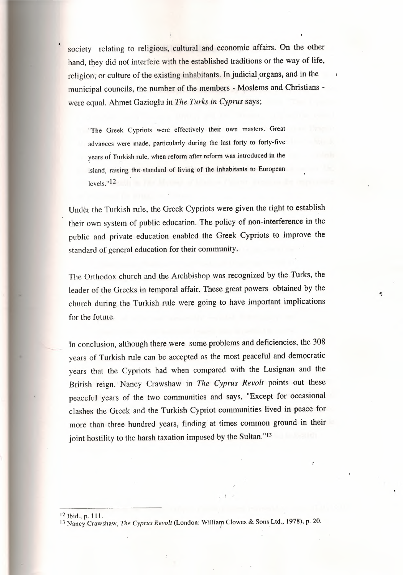society relating to religious, cultural and economic affairs. On the other hand, they did not interfere with the established traditions or the way of life, religion, or culture of the existing inhabitants. In judicial organs, and in the municipal councils, the number of the members - Moslems and Christians were equal. Ahmet Gazioglu in *The Turks in Cyprus* says;

"The Greek Cypriots were effectively their own masters. Great advances were made, particularly during the last forty to forty-five· years of Turkish rule, when reform after reform was introduced in the island, raising the· standard of living of the inhabitants to European levels." 12

Under the Turkish rule, the Greek Cypriots were given the right to establish their own system of public education. The policy of non-interference in the public and private education enabled the Greek Cypriots to improve the standard of general education for their community.

The Orthodox church and the Archbishop was recognized by the Turks, the leader of the Greeks in temporal affair. These great powers obtained by the church during the Turkish rule were going to have important implications for the future.

~.

In conclusion, although there were some problems and deficiencies, the 308 years of Turkish rule can be accepted as the most peaceful and democratic years that the Cypriots had when compared with the Lusignan and the British reign. Nancy Crawshaw in *The Cyprus Revolt* points out these peaceful years of the two communities and says, "Except for occasional clashes the Greek and the Turkish Cypriot communities lived in peace for more than three hundred years, finding at times common ground in their joint hostility to the harsh taxation imposed by the Sultan."<sup>13</sup>

<sup>12</sup>Ibid.,p.111.

l3 Nancy Crawshaw, *The Cyprus Revolt* (London: Williaıp Clowes & Sons Ltd., 1978), p. 20.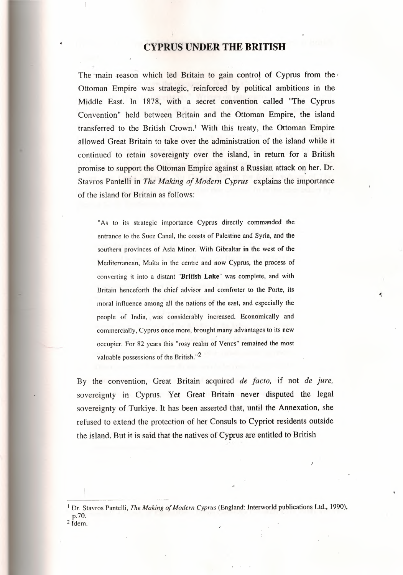#### **CYPRUS UNDER THE BRITISH**

The main reason which led Britain to gain control of Cyprus from the Ottoman Empire was strategic, 'reinforced by political ambitions in the Middle East. In 1878, with a secret convention called ''The Cyprus Convention" held between Britain and the Ottoman Empire, the island transferred to the British Crown.<sup>1</sup> With this treaty, the Ottoman Empire allowed Great Britain to take over the administration of the island while it continued to retain sovereignty over the island, in return for a British promise to support-the Ottoman Empire against a Russian attack on her. Dr. Stavros Pantelli in *The Making of Modem Cyprus* explains the importance of the island for Britain as follows:

"As to its strategic importance Cyprus directly commanded the entrance to the Suez Canal, the coasts of Palestine and Syria, and the southern provinces of Asia Minor. With Gibraltar in the west of the Mediterranean, Malta in the centre and now Cyprus, the process of converting it into a distant "British Lake" was complete, and with Britain henceforth the chief advisor and comforter to the Porte, its moral influence among all the nations of the east, and especially the people of India, was considerably increased. Economically and commercially, Cyprus once more, brought many advantages to its new occupier. For 82 years this "rosy realm of Venus" remained the most valuable possessions of the British."2

By the convention, Great Britain acquired *de facto,* if not *de jure,* sovereignty in Cyprus. Yet Great Britain never disputed the legal sovereignty of Turkiye. It has been asserted that, until the Annexation, she refused to extend the protection of her Consuls to Cypriot residents outside the island. But it is said that the natives of Cyprus are entitled to British

<sup>1</sup> Dr. Stavros Pantelli, *The Making of Modern Cyprus* (England: Interworld publications Ltd., 1990), p.70. 2 Idem.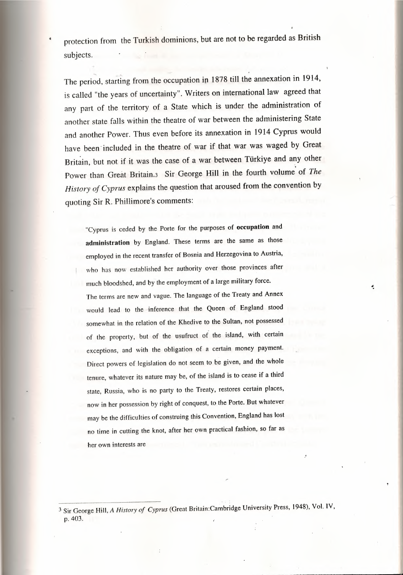protection from the Turkish dominions, but are not to be regarded as British subjects.

The period, starting from the occupation in 1878 till the annexation in 1914, is called "the years of uncertainty". Writers on international law agreed that any part of the territory of a State which is under the administration of another state falls within the theatre of war between the administering State and another Power. Thus even before its annexation in 1914 Cyprus would have been included in the theatre of war if that war was waged by Great Britain, but not if it was the case of a war between Türkiye and any other . Power than Great Britain.3 Sir George Hill in the fourth volume of *The History of Cyprus* explains the question that aroused from the convention by quoting Sir R. Phillimore's comments:

"Cyprus is ceded by the Porte for the purposes of occupation and administration by England. These terms are the same as those employed in the recent transfer of Bosnia and Herzegovina to Austria, who has now established her authority over those provinces after much bloodshed, and by the employment of a large military force. The terms are new and vague. The language of the Treaty and Annex would lead to the-inference that the Queen of England stood somewhat in the relation of the Khedive to the Sultan, not possessed of the property, but of the usufruct of the island, with certain exceptions, and with the obligation of a certain money payment. Direct powers of legislation do not seem to be given, and the whole tenure, whatever its nature may be, of the island is to cease if a third state, Russia, who is no party to the Treaty, restores certain places, now in her possession by right of conquest, to the Porte. But whatever may be the difficulties of construing this Convention, England has lost no time in cutting the knot, after her own practical fashion, so far as her own interests are

.•.

<sup>3</sup> Sir George Hill, *A History of Cyprus* (Great Britain:Cambridge University Press, 1948), Vol. IV, p. 403.

,,.